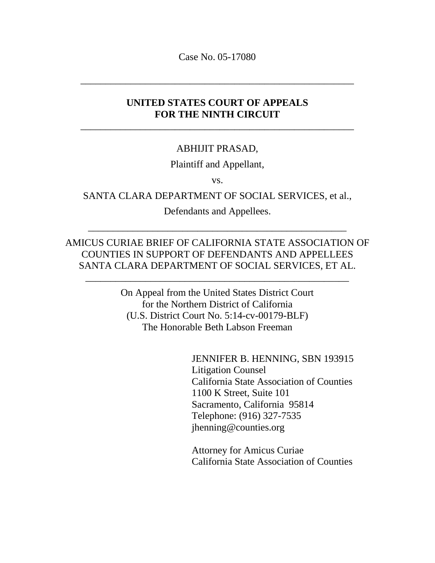Case No. 05-17080

\_\_\_\_\_\_\_\_\_\_\_\_\_\_\_\_\_\_\_\_\_\_\_\_\_\_\_\_\_\_\_\_\_\_\_\_\_\_\_\_\_\_\_\_\_\_\_\_\_\_\_\_\_\_\_

# **UNITED STATES COURT OF APPEALS FOR THE NINTH CIRCUIT**

\_\_\_\_\_\_\_\_\_\_\_\_\_\_\_\_\_\_\_\_\_\_\_\_\_\_\_\_\_\_\_\_\_\_\_\_\_\_\_\_\_\_\_\_\_\_\_\_\_\_\_\_\_\_\_

### ABHIJIT PRASAD,

### Plaintiff and Appellant,

vs.

### SANTA CLARA DEPARTMENT OF SOCIAL SERVICES, et al.,

Defendants and Appellees.

\_\_\_\_\_\_\_\_\_\_\_\_\_\_\_\_\_\_\_\_\_\_\_\_\_\_\_\_\_\_\_\_\_\_\_\_\_\_\_\_\_\_\_\_\_\_\_\_\_\_\_\_

## AMICUS CURIAE BRIEF OF CALIFORNIA STATE ASSOCIATION OF COUNTIES IN SUPPORT OF DEFENDANTS AND APPELLEES SANTA CLARA DEPARTMENT OF SOCIAL SERVICES, ET AL.

\_\_\_\_\_\_\_\_\_\_\_\_\_\_\_\_\_\_\_\_\_\_\_\_\_\_\_\_\_\_\_\_\_\_\_\_\_\_\_\_\_\_\_\_\_\_\_\_\_\_\_\_\_

On Appeal from the United States District Court for the Northern District of California (U.S. District Court No. 5:14-cv-00179-BLF) The Honorable Beth Labson Freeman

> JENNIFER B. HENNING, SBN 193915 Litigation Counsel California State Association of Counties 1100 K Street, Suite 101 Sacramento, California 95814 Telephone: (916) 327-7535 jhenning@counties.org

Attorney for Amicus Curiae California State Association of Counties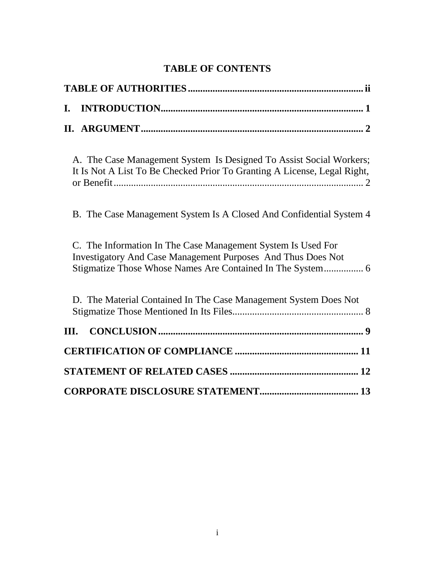# **TABLE OF CONTENTS**

| I.                                                                                                                                              |
|-------------------------------------------------------------------------------------------------------------------------------------------------|
|                                                                                                                                                 |
| A. The Case Management System Is Designed To Assist Social Workers;<br>It Is Not A List To Be Checked Prior To Granting A License, Legal Right, |
| B. The Case Management System Is A Closed And Confidential System 4                                                                             |
| C. The Information In The Case Management System Is Used For<br><b>Investigatory And Case Management Purposes And Thus Does Not</b>             |
| D. The Material Contained In The Case Management System Does Not                                                                                |
| Ш.                                                                                                                                              |
|                                                                                                                                                 |
|                                                                                                                                                 |
|                                                                                                                                                 |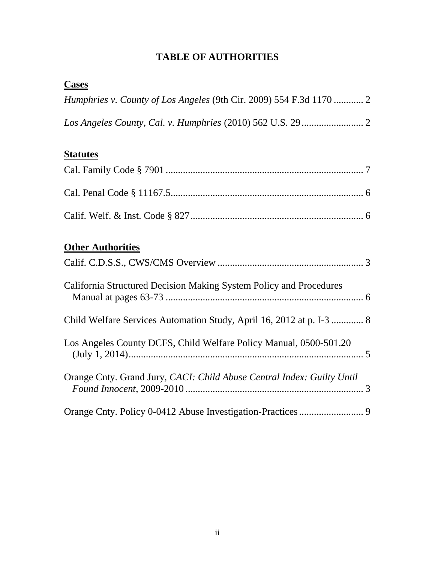# **TABLE OF AUTHORITIES**

| <b>Cases</b>                                                           |  |
|------------------------------------------------------------------------|--|
| Humphries v. County of Los Angeles (9th Cir. 2009) 554 F.3d 1170  2    |  |
|                                                                        |  |
| <b>Statutes</b>                                                        |  |
|                                                                        |  |
|                                                                        |  |
|                                                                        |  |
| <b>Other Authorities</b>                                               |  |
|                                                                        |  |
| California Structured Decision Making System Policy and Procedures     |  |
| Child Welfare Services Automation Study, April 16, 2012 at p. I-3  8   |  |
| Los Angeles County DCFS, Child Welfare Policy Manual, 0500-501.20      |  |
| Orange Cnty. Grand Jury, CACI: Child Abuse Central Index: Guilty Until |  |
|                                                                        |  |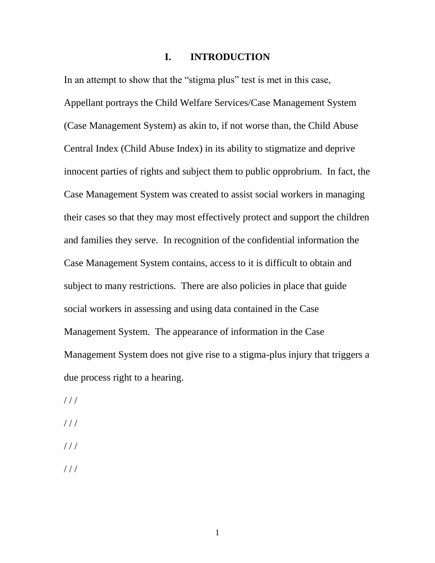### **I. INTRODUCTION**

In an attempt to show that the "stigma plus" test is met in this case, Appellant portrays the Child Welfare Services/Case Management System (Case Management System) as akin to, if not worse than, the Child Abuse Central Index (Child Abuse Index) in its ability to stigmatize and deprive innocent parties of rights and subject them to public opprobrium. In fact, the Case Management System was created to assist social workers in managing their cases so that they may most effectively protect and support the children and families they serve. In recognition of the confidential information the Case Management System contains, access to it is difficult to obtain and subject to many restrictions. There are also policies in place that guide social workers in assessing and using data contained in the Case Management System. The appearance of information in the Case Management System does not give rise to a stigma-plus injury that triggers a due process right to a hearing.

 $//$ 

- $///$
- $///$
- / / /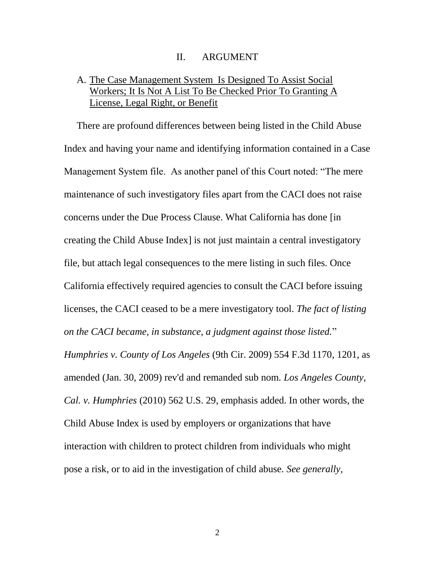#### II. ARGUMENT

## A. The Case Management System Is Designed To Assist Social Workers; It Is Not A List To Be Checked Prior To Granting A License, Legal Right, or Benefit

There are profound differences between being listed in the Child Abuse Index and having your name and identifying information contained in a Case Management System file. As another panel of this Court noted: "The mere maintenance of such investigatory files apart from the CACI does not raise concerns under the Due Process Clause. What California has done [in creating the Child Abuse Index] is not just maintain a central investigatory file, but attach legal consequences to the mere listing in such files. Once California effectively required agencies to consult the CACI before issuing licenses, the CACI ceased to be a mere investigatory tool. *The fact of listing on the CACI became, in substance, a judgment against those listed.*" *Humphries v. County of Los Angeles* (9th Cir. 2009) 554 F.3d 1170, 1201, as amended (Jan. 30, 2009) rev'd and remanded sub nom. *Los Angeles County, Cal. v. Humphries* (2010) 562 U.S. 29, emphasis added. In other words, the Child Abuse Index is used by employers or organizations that have interaction with children to protect children from individuals who might pose a risk, or to aid in the investigation of child abuse. *See generally,*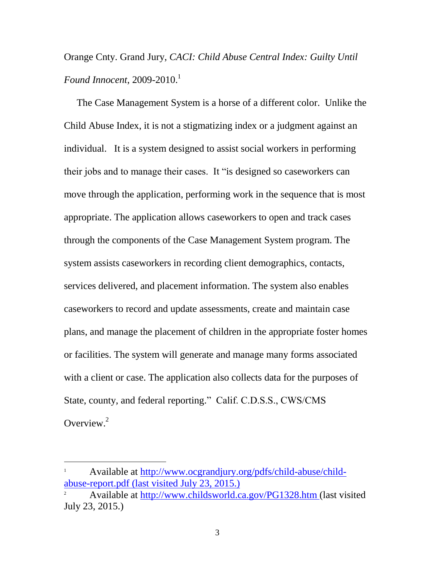Orange Cnty. Grand Jury, *CACI: Child Abuse Central Index: Guilty Until Found Innocent*, 2009-2010. 1

The Case Management System is a horse of a different color. Unlike the Child Abuse Index, it is not a stigmatizing index or a judgment against an individual. It is a system designed to assist social workers in performing their jobs and to manage their cases. It "is designed so caseworkers can move through the application, performing work in the sequence that is most appropriate. The application allows caseworkers to open and track cases through the components of the Case Management System program. The system assists caseworkers in recording client demographics, contacts, services delivered, and placement information. The system also enables caseworkers to record and update assessments, create and maintain case plans, and manage the placement of children in the appropriate foster homes or facilities. The system will generate and manage many forms associated with a client or case. The application also collects data for the purposes of State, county, and federal reporting." Calif. C.D.S.S., CWS/CMS Overview.<sup>2</sup>

<sup>&</sup>lt;sup>1</sup> Available at [http://www.ocgrandjury.org/pdfs/child-abuse/child](http://www.ocgrandjury.org/pdfs/child-abuse/child-abuse-report.pdf)[abuse-report.pdf](http://www.ocgrandjury.org/pdfs/child-abuse/child-abuse-report.pdf) (last visited July 23, 2015.)

<sup>2</sup> Available at<http://www.childsworld.ca.gov/PG1328.htm> (last visited July 23, 2015.)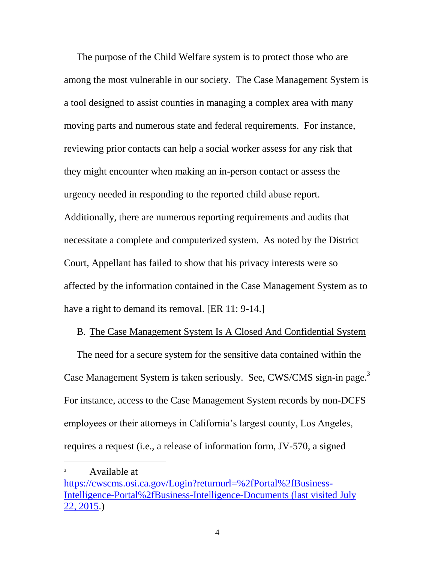The purpose of the Child Welfare system is to protect those who are among the most vulnerable in our society. The Case Management System is a tool designed to assist counties in managing a complex area with many moving parts and numerous state and federal requirements. For instance, reviewing prior contacts can help a social worker assess for any risk that they might encounter when making an in-person contact or assess the urgency needed in responding to the reported child abuse report. Additionally, there are numerous reporting requirements and audits that necessitate a complete and computerized system. As noted by the District Court, Appellant has failed to show that his privacy interests were so affected by the information contained in the Case Management System as to have a right to demand its removal. [ER 11: 9-14.]

### B. The Case Management System Is A Closed And Confidential System

The need for a secure system for the sensitive data contained within the Case Management System is taken seriously. See, CWS/CMS sign-in page.<sup>3</sup> For instance, access to the Case Management System records by non-DCFS employees or their attorneys in California's largest county, Los Angeles, requires a request (i.e., a release of information form, JV-570, a signed

<sup>&</sup>lt;sup>3</sup> Available at

[https://cwscms.osi.ca.gov/Login?returnurl=%2fPortal%2fBusiness-](https://cwscms.osi.ca.gov/Login?returnurl=%2fPortal%2fBusiness-Intelligence-Portal%2fBusiness-Intelligence-Documents)[Intelligence-Portal%2fBusiness-Intelligence-Documents](https://cwscms.osi.ca.gov/Login?returnurl=%2fPortal%2fBusiness-Intelligence-Portal%2fBusiness-Intelligence-Documents) (last visited July 22, 2015.)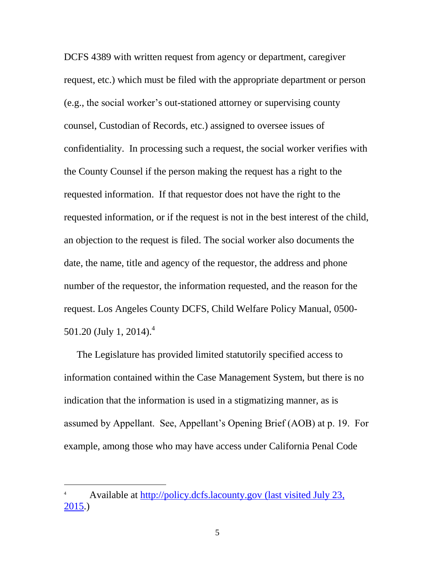DCFS 4389 with written request from agency or department, caregiver request, etc.) which must be filed with the appropriate department or person (e.g., the social worker's out-stationed attorney or supervising county counsel, Custodian of Records, etc.) assigned to oversee issues of confidentiality. In processing such a request, the social worker verifies with the County Counsel if the person making the request has a right to the requested information. If that requestor does not have the right to the requested information, or if the request is not in the best interest of the child, an objection to the request is filed. The social worker also documents the date, the name, title and agency of the requestor, the address and phone number of the requestor, the information requested, and the reason for the request. Los Angeles County DCFS, Child Welfare Policy Manual, 0500- 501.20 (July 1, 2014).<sup>4</sup>

The Legislature has provided limited statutorily specified access to information contained within the Case Management System, but there is no indication that the information is used in a stigmatizing manner, as is assumed by Appellant. See, Appellant's Opening Brief (AOB) at p. 19. For example, among those who may have access under California Penal Code

<sup>4</sup> Available at [http://policy.dcfs.lacounty.gov](http://policy.dcfs.lacounty.gov/) (last visited July 23,  $2015.$ )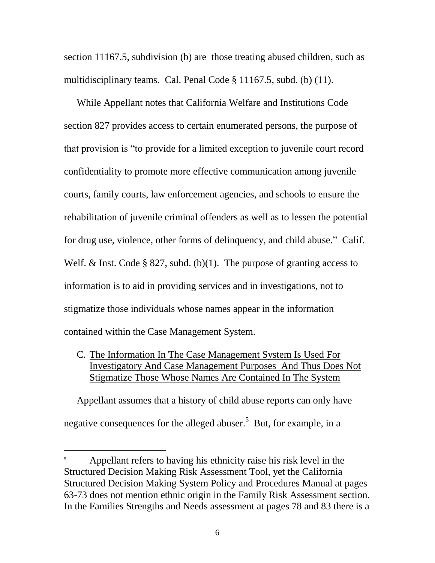section 11167.5, subdivision (b) are those treating abused children, such as multidisciplinary teams. Cal. Penal Code § 11167.5, subd. (b) (11).

While Appellant notes that California Welfare and Institutions Code section 827 provides access to certain enumerated persons, the purpose of that provision is "to provide for a limited exception to juvenile court record confidentiality to promote more effective communication among juvenile courts, family courts, law enforcement agencies, and schools to ensure the rehabilitation of juvenile criminal offenders as well as to lessen the potential for drug use, violence, other forms of delinquency, and child abuse." Calif. Welf. & Inst. Code  $\S 827$ , subd. (b)(1). The purpose of granting access to information is to aid in providing services and in investigations, not to stigmatize those individuals whose names appear in the information contained within the Case Management System.

C. The Information In The Case Management System Is Used For Investigatory And Case Management Purposes And Thus Does Not Stigmatize Those Whose Names Are Contained In The System

Appellant assumes that a history of child abuse reports can only have negative consequences for the alleged abuser.<sup>5</sup> But, for example, in a

Appellant refers to having his ethnicity raise his risk level in the Structured Decision Making Risk Assessment Tool, yet the California Structured Decision Making System Policy and Procedures Manual at pages 63-73 does not mention ethnic origin in the Family Risk Assessment section. In the Families Strengths and Needs assessment at pages 78 and 83 there is a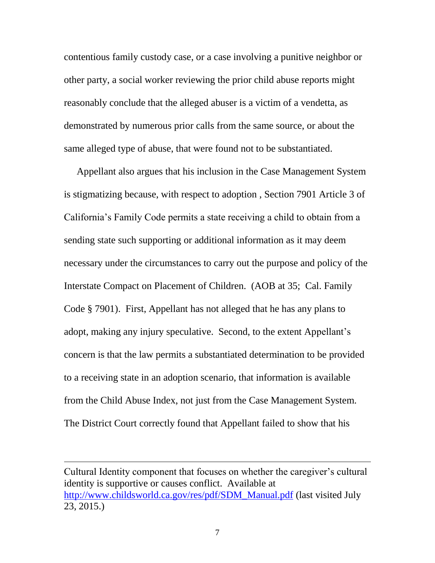contentious family custody case, or a case involving a punitive neighbor or other party, a social worker reviewing the prior child abuse reports might reasonably conclude that the alleged abuser is a victim of a vendetta, as demonstrated by numerous prior calls from the same source, or about the same alleged type of abuse, that were found not to be substantiated.

Appellant also argues that his inclusion in the Case Management System is stigmatizing because, with respect to adoption , Section 7901 Article 3 of California's Family Code permits a state receiving a child to obtain from a sending state such supporting or additional information as it may deem necessary under the circumstances to carry out the purpose and policy of the Interstate Compact on Placement of Children. (AOB at 35; Cal. Family Code § 7901). First, Appellant has not alleged that he has any plans to adopt, making any injury speculative. Second, to the extent Appellant's concern is that the law permits a substantiated determination to be provided to a receiving state in an adoption scenario, that information is available from the Child Abuse Index, not just from the Case Management System. The District Court correctly found that Appellant failed to show that his

Cultural Identity component that focuses on whether the caregiver's cultural identity is supportive or causes conflict. Available at [http://www.childsworld.ca.gov/res/pdf/SDM\\_Manual.pdf](http://www.childsworld.ca.gov/res/pdf/SDM_Manual.pdf) (last visited July 23, 2015.)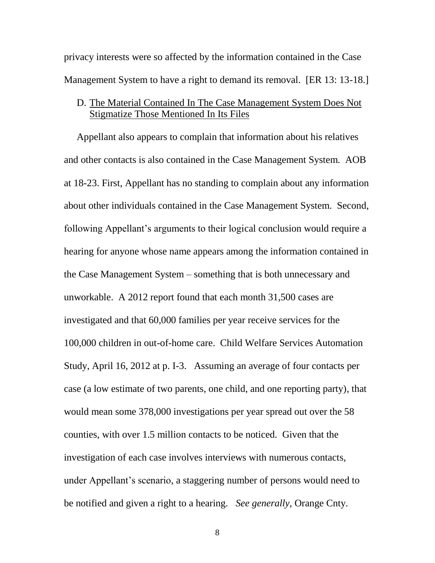privacy interests were so affected by the information contained in the Case Management System to have a right to demand its removal. [ER 13: 13-18.]

## D. The Material Contained In The Case Management System Does Not Stigmatize Those Mentioned In Its Files

Appellant also appears to complain that information about his relatives and other contacts is also contained in the Case Management System. AOB at 18-23. First, Appellant has no standing to complain about any information about other individuals contained in the Case Management System. Second, following Appellant's arguments to their logical conclusion would require a hearing for anyone whose name appears among the information contained in the Case Management System – something that is both unnecessary and unworkable. A 2012 report found that each month 31,500 cases are investigated and that 60,000 families per year receive services for the 100,000 children in out-of-home care. Child Welfare Services Automation Study, April 16, 2012 at p. I-3. Assuming an average of four contacts per case (a low estimate of two parents, one child, and one reporting party), that would mean some 378,000 investigations per year spread out over the 58 counties, with over 1.5 million contacts to be noticed. Given that the investigation of each case involves interviews with numerous contacts, under Appellant's scenario, a staggering number of persons would need to be notified and given a right to a hearing. *See generally*, Orange Cnty.

8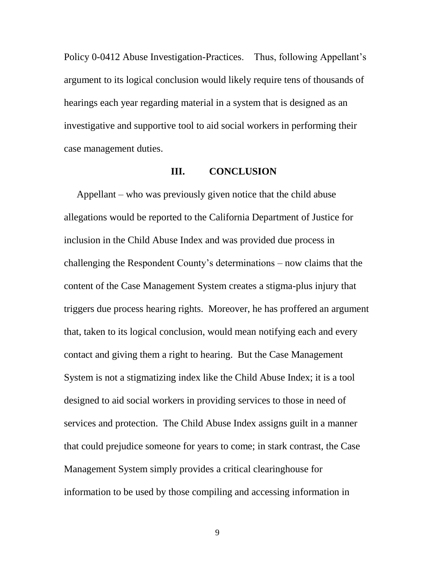Policy 0-0412 Abuse Investigation-Practices. Thus, following Appellant's argument to its logical conclusion would likely require tens of thousands of hearings each year regarding material in a system that is designed as an investigative and supportive tool to aid social workers in performing their case management duties.

#### **III. CONCLUSION**

Appellant – who was previously given notice that the child abuse allegations would be reported to the California Department of Justice for inclusion in the Child Abuse Index and was provided due process in challenging the Respondent County's determinations – now claims that the content of the Case Management System creates a stigma-plus injury that triggers due process hearing rights. Moreover, he has proffered an argument that, taken to its logical conclusion, would mean notifying each and every contact and giving them a right to hearing. But the Case Management System is not a stigmatizing index like the Child Abuse Index; it is a tool designed to aid social workers in providing services to those in need of services and protection. The Child Abuse Index assigns guilt in a manner that could prejudice someone for years to come; in stark contrast, the Case Management System simply provides a critical clearinghouse for information to be used by those compiling and accessing information in

9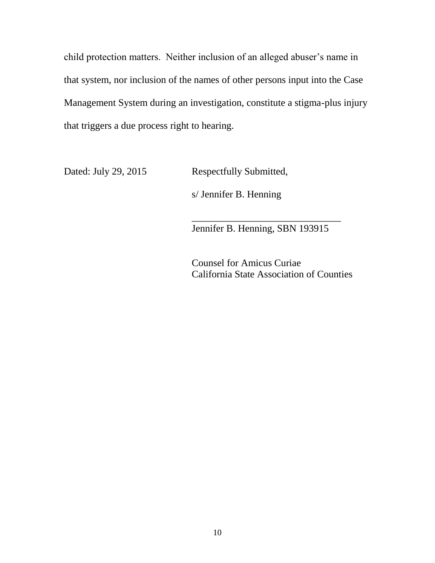child protection matters. Neither inclusion of an alleged abuser's name in that system, nor inclusion of the names of other persons input into the Case Management System during an investigation, constitute a stigma-plus injury that triggers a due process right to hearing.

Dated: July 29, 2015 Respectfully Submitted,

s/ Jennifer B. Henning

Jennifer B. Henning, SBN 193915

\_\_\_\_\_\_\_\_\_\_\_\_\_\_\_\_\_\_\_\_\_\_\_\_\_\_\_\_\_\_

Counsel for Amicus Curiae California State Association of Counties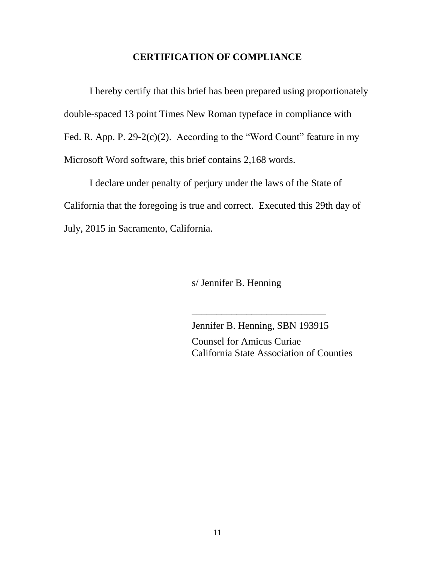## **CERTIFICATION OF COMPLIANCE**

I hereby certify that this brief has been prepared using proportionately double-spaced 13 point Times New Roman typeface in compliance with Fed. R. App. P.  $29-2(c)(2)$ . According to the "Word Count" feature in my Microsoft Word software, this brief contains 2,168 words.

I declare under penalty of perjury under the laws of the State of California that the foregoing is true and correct. Executed this 29th day of July, 2015 in Sacramento, California.

s/ Jennifer B. Henning

Jennifer B. Henning, SBN 193915 Counsel for Amicus Curiae California State Association of Counties

\_\_\_\_\_\_\_\_\_\_\_\_\_\_\_\_\_\_\_\_\_\_\_\_\_\_\_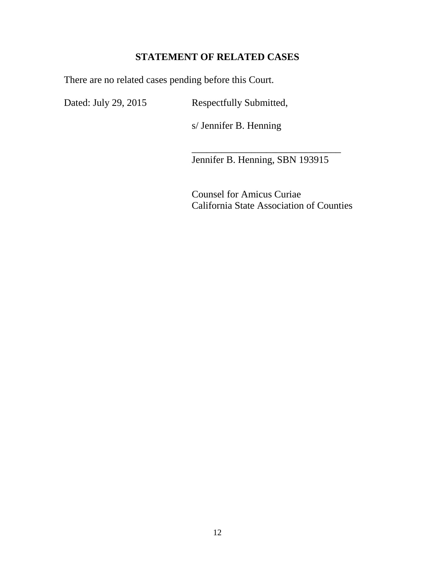# **STATEMENT OF RELATED CASES**

There are no related cases pending before this Court.

Dated: July 29, 2015 Respectfully Submitted,

s/ Jennifer B. Henning

Jennifer B. Henning, SBN 193915

\_\_\_\_\_\_\_\_\_\_\_\_\_\_\_\_\_\_\_\_\_\_\_\_\_\_\_\_\_\_

Counsel for Amicus Curiae California State Association of Counties